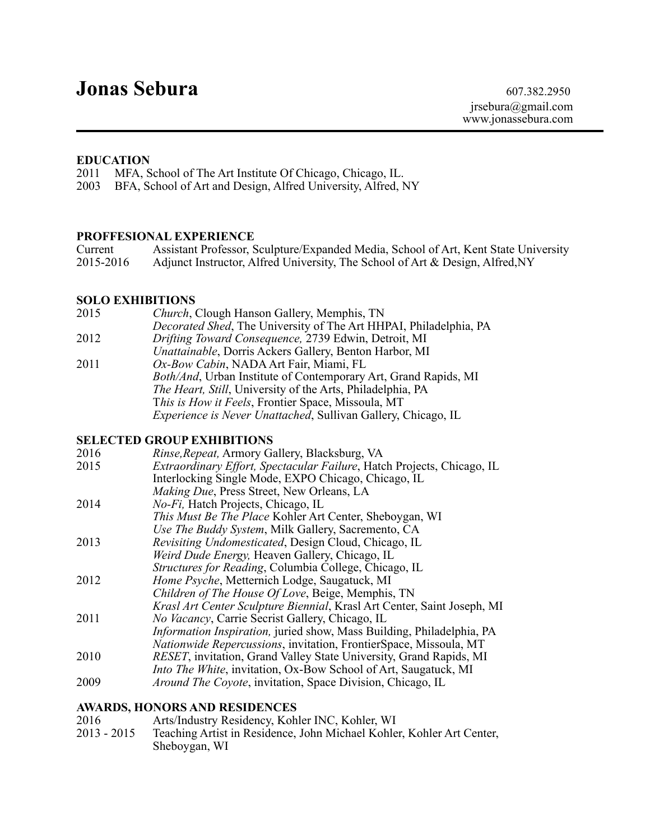# **Jonas Sebura** 607.382.2950

#### **EDUCATION**

2011 MFA, School of The Art Institute Of Chicago, Chicago, IL.

2003 BFA, School of Art and Design, Alfred University, Alfred, NY

## **PROFFESIONAL EXPERIENCE**

| Current   | Assistant Professor, Sculpture/Expanded Media, School of Art, Kent State University |
|-----------|-------------------------------------------------------------------------------------|
| 2015-2016 | Adjunct Instructor, Alfred University, The School of Art & Design, Alfred, NY       |

#### **SOLO EXHIBITIONS**

| 2015 | Church, Clough Hanson Gallery, Memphis, TN                           |
|------|----------------------------------------------------------------------|
|      | Decorated Shed, The University of The Art HHPAI, Philadelphia, PA    |
| 2012 | Drifting Toward Consequence, 2739 Edwin, Detroit, MI                 |
|      | Unattainable, Dorris Ackers Gallery, Benton Harbor, MI               |
| 2011 | Ox-Bow Cabin, NADA Art Fair, Miami, FL                               |
|      | Both/And, Urban Institute of Contemporary Art, Grand Rapids, MI      |
|      | <i>The Heart, Still, University of the Arts, Philadelphia, PA</i>    |
|      | This is How it Feels, Frontier Space, Missoula, MT                   |
|      | <i>Experience is Never Unattached, Sullivan Gallery, Chicago, IL</i> |
|      |                                                                      |

## **SELECTED GROUP EXHIBITIONS**

| 2016 | Rinse, Repeat, Armory Gallery, Blacksburg, VA                                |
|------|------------------------------------------------------------------------------|
| 2015 | Extraordinary Effort, Spectacular Failure, Hatch Projects, Chicago, IL       |
|      | Interlocking Single Mode, EXPO Chicago, Chicago, IL                          |
|      | Making Due, Press Street, New Orleans, LA                                    |
| 2014 | No-Fi, Hatch Projects, Chicago, IL                                           |
|      | This Must Be The Place Kohler Art Center, Sheboygan, WI                      |
|      | Use The Buddy System, Milk Gallery, Sacremento, CA                           |
| 2013 | Revisiting Undomesticated, Design Cloud, Chicago, IL                         |
|      | Weird Dude Energy, Heaven Gallery, Chicago, IL                               |
|      | Structures for Reading, Columbia College, Chicago, IL                        |
| 2012 | Home Psyche, Metternich Lodge, Saugatuck, MI                                 |
|      | <i>Children of The House Of Love</i> , Beige, Memphis, TN                    |
|      | Krasl Art Center Sculpture Biennial, Krasl Art Center, Saint Joseph, MI      |
| 2011 | No Vacancy, Carrie Secrist Gallery, Chicago, IL                              |
|      | <i>Information Inspiration, juried show, Mass Building, Philadelphia, PA</i> |
|      | <i>Nationwide Repercussions, invitation, FrontierSpace, Missoula, MT</i>     |
| 2010 | RESET, invitation, Grand Valley State University, Grand Rapids, MI           |
|      | <i>Into The White, invitation, Ox-Bow School of Art, Saugatuck, MI</i>       |
| 2009 | <i>Around The Coyote, invitation, Space Division, Chicago, IL</i>            |

#### **AWARDS, HONORS AND RESIDENCES**

| 2016        | Arts/Industry Residency, Kohler INC, Kohler, WI                       |
|-------------|-----------------------------------------------------------------------|
| 2013 - 2015 | Teaching Artist in Residence, John Michael Kohler, Kohler Art Center, |
|             | Sheboygan, WI                                                         |